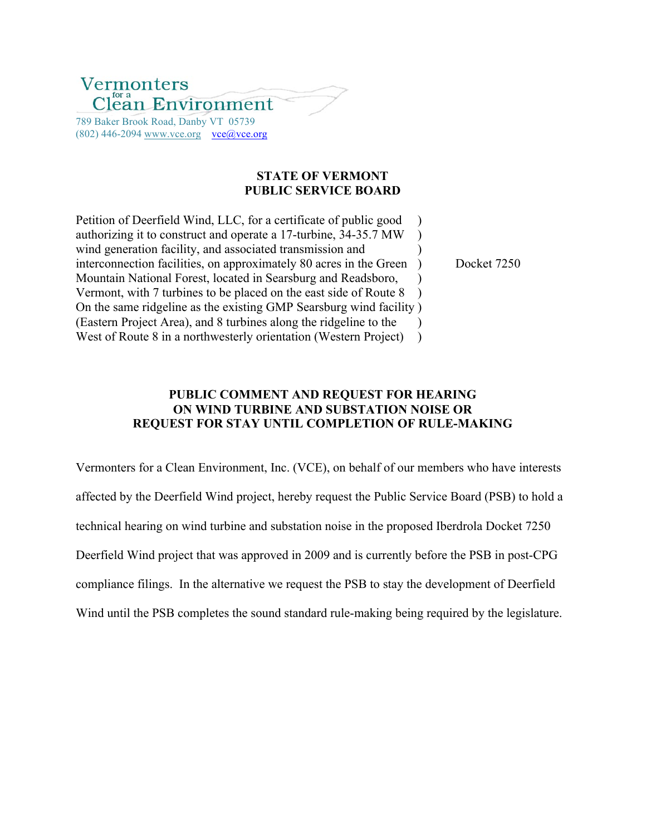# Vermonters ean Environment

789 Baker Brook Road, Danby VT 05739  $(802)$  446-2094 www.vce.org vce@vce.org

## **STATE OF VERMONT PUBLIC SERVICE BOARD**

Petition of Deerfield Wind, LLC, for a certificate of public good ) authorizing it to construct and operate a 17-turbine, 34-35.7 MW ) wind generation facility, and associated transmission and  $\qquad$ interconnection facilities, on approximately 80 acres in the Green ) Docket 7250 Mountain National Forest, located in Searsburg and Readsboro, Vermont, with 7 turbines to be placed on the east side of Route 8 ) On the same ridgeline as the existing GMP Searsburg wind facility ) (Eastern Project Area), and 8 turbines along the ridgeline to the ) West of Route 8 in a northwesterly orientation (Western Project) )

## **PUBLIC COMMENT AND REQUEST FOR HEARING ON WIND TURBINE AND SUBSTATION NOISE OR REQUEST FOR STAY UNTIL COMPLETION OF RULE-MAKING**

Vermonters for a Clean Environment, Inc. (VCE), on behalf of our members who have interests affected by the Deerfield Wind project, hereby request the Public Service Board (PSB) to hold a technical hearing on wind turbine and substation noise in the proposed Iberdrola Docket 7250 Deerfield Wind project that was approved in 2009 and is currently before the PSB in post-CPG compliance filings. In the alternative we request the PSB to stay the development of Deerfield Wind until the PSB completes the sound standard rule-making being required by the legislature.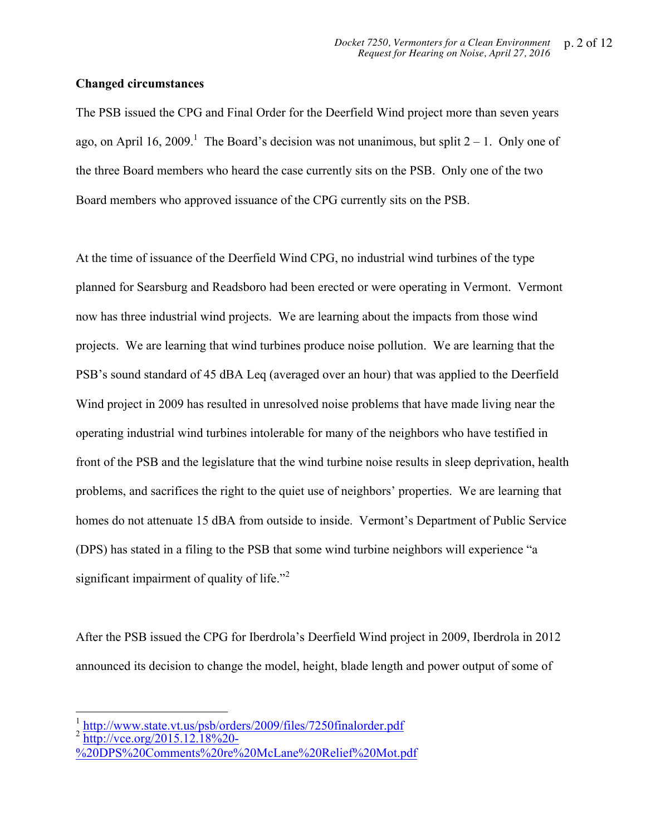#### **Changed circumstances**

The PSB issued the CPG and Final Order for the Deerfield Wind project more than seven years ago, on April 16, 2009.<sup>1</sup> The Board's decision was not unanimous, but split  $2 - 1$ . Only one of the three Board members who heard the case currently sits on the PSB. Only one of the two Board members who approved issuance of the CPG currently sits on the PSB.

At the time of issuance of the Deerfield Wind CPG, no industrial wind turbines of the type planned for Searsburg and Readsboro had been erected or were operating in Vermont. Vermont now has three industrial wind projects. We are learning about the impacts from those wind projects. We are learning that wind turbines produce noise pollution. We are learning that the PSB's sound standard of 45 dBA Leq (averaged over an hour) that was applied to the Deerfield Wind project in 2009 has resulted in unresolved noise problems that have made living near the operating industrial wind turbines intolerable for many of the neighbors who have testified in front of the PSB and the legislature that the wind turbine noise results in sleep deprivation, health problems, and sacrifices the right to the quiet use of neighbors' properties. We are learning that homes do not attenuate 15 dBA from outside to inside. Vermont's Department of Public Service (DPS) has stated in a filing to the PSB that some wind turbine neighbors will experience "a significant impairment of quality of life."<sup>2</sup>

After the PSB issued the CPG for Iberdrola's Deerfield Wind project in 2009, Iberdrola in 2012 announced its decision to change the model, height, blade length and power output of some of

 $\frac{1}{2}$  http://www.state.vt.us/psb/orders/2009/files/7250finalorder.pdf http://vce.org/2015.12.18%20-

<sup>%20</sup>DPS%20Comments%20re%20McLane%20Relief%20Mot.pdf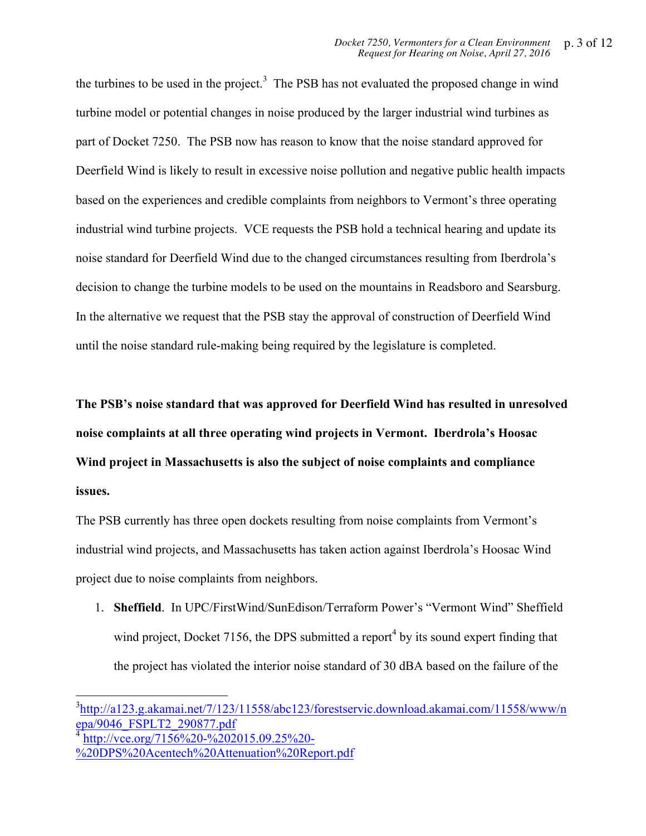the turbines to be used in the project.<sup>3</sup> The PSB has not evaluated the proposed change in wind turbine model or potential changes in noise produced by the larger industrial wind turbines as part of Docket 7250. The PSB now has reason to know that the noise standard approved for Deerfield Wind is likely to result in excessive noise pollution and negative public health impacts based on the experiences and credible complaints from neighbors to Vermont's three operating industrial wind turbine projects. VCE requests the PSB hold a technical hearing and update its noise standard for Deerfield Wind due to the changed circumstances resulting from Iberdrola's decision to change the turbine models to be used on the mountains in Readsboro and Searsburg. In the alternative we request that the PSB stay the approval of construction of Deerfield Wind until the noise standard rule-making being required by the legislature is completed.

**The PSB's noise standard that was approved for Deerfield Wind has resulted in unresolved noise complaints at all three operating wind projects in Vermont. Iberdrola's Hoosac Wind project in Massachusetts is also the subject of noise complaints and compliance issues.**

The PSB currently has three open dockets resulting from noise complaints from Vermont's industrial wind projects, and Massachusetts has taken action against Iberdrola's Hoosac Wind project due to noise complaints from neighbors.

1. **Sheffield**. In UPC/FirstWind/SunEdison/Terraform Power's "Vermont Wind" Sheffield wind project, Docket 7156, the DPS submitted a report<sup>4</sup> by its sound expert finding that the project has violated the interior noise standard of 30 dBA based on the failure of the

http://vce.org/7156%20-%202015.09.25%20-%20DPS%20Acentech%20Attenuation%20Report.pdf

3 http://a123.g.akamai.net/7/123/11558/abc123/forestservic.download.akamai.com/11558/www/n epa/9046\_FSPLT2\_290877.pdf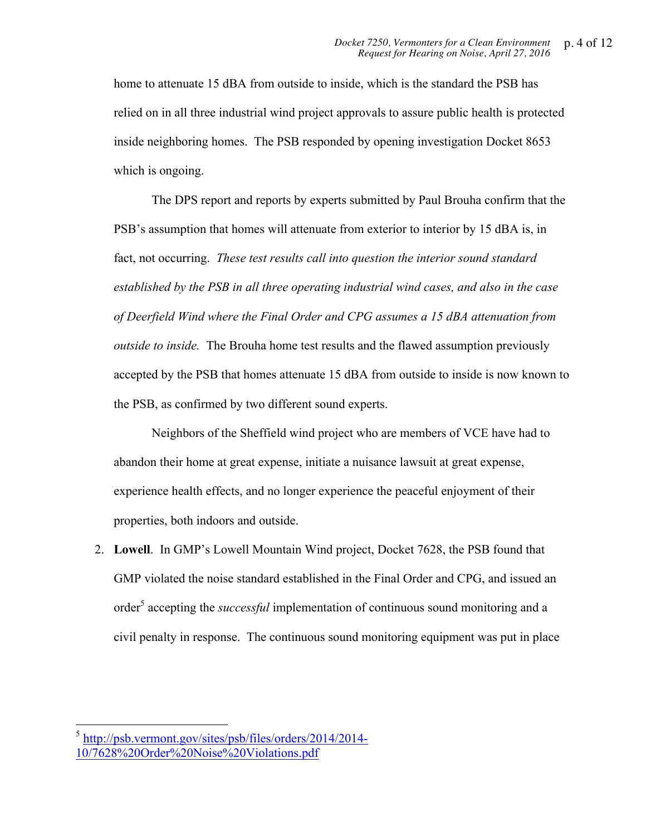home to attenuate 15 dBA from outside to inside, which is the standard the PSB has relied on in all three industrial wind project approvals to assure public health is protected inside neighboring homes. The PSB responded by opening investigation Docket 8653 which is ongoing.

The DPS report and reports by experts submitted by Paul Brouha confirm that the PSB's assumption that homes will attenuate from exterior to interior by 15 dBA is, in fact, not occurring. *These test results call into question the interior sound standard established by the PSB in all three operating industrial wind cases, and also in the case of Deerfield Wind where the Final Order and CPG assumes a 15 dBA attenuation from outside to inside.* The Brouha home test results and the flawed assumption previously accepted by the PSB that homes attenuate 15 dBA from outside to inside is now known to the PSB, as confirmed by two different sound experts.

Neighbors of the Sheffield wind project who are members of VCE have had to abandon their home at great expense, initiate a nuisance lawsuit at great expense, experience health effects, and no longer experience the peaceful enjoyment of their properties, both indoors and outside.

2. **Lowell**. In GMP's Lowell Mountain Wind project, Docket 7628, the PSB found that GMP violated the noise standard established in the Final Order and CPG, and issued an order<sup>5</sup> accepting the *successful* implementation of continuous sound monitoring and a civil penalty in response. The continuous sound monitoring equipment was put in place

<sup>5</sup> http://psb.vermont.gov/sites/psb/files/orders/2014/2014- 10/7628%20Order%20Noise%20Violations.pdf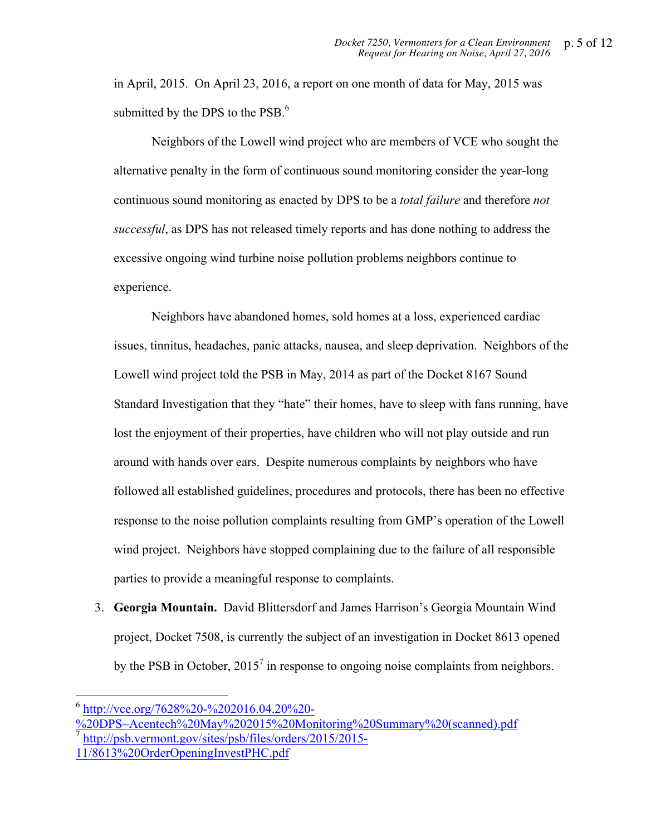in April, 2015. On April 23, 2016, a report on one month of data for May, 2015 was submitted by the DPS to the PSB. $<sup>6</sup>$ </sup>

Neighbors of the Lowell wind project who are members of VCE who sought the alternative penalty in the form of continuous sound monitoring consider the year-long continuous sound monitoring as enacted by DPS to be a *total failure* and therefore *not successful*, as DPS has not released timely reports and has done nothing to address the excessive ongoing wind turbine noise pollution problems neighbors continue to experience.

Neighbors have abandoned homes, sold homes at a loss, experienced cardiac issues, tinnitus, headaches, panic attacks, nausea, and sleep deprivation. Neighbors of the Lowell wind project told the PSB in May, 2014 as part of the Docket 8167 Sound Standard Investigation that they "hate" their homes, have to sleep with fans running, have lost the enjoyment of their properties, have children who will not play outside and run around with hands over ears. Despite numerous complaints by neighbors who have followed all established guidelines, procedures and protocols, there has been no effective response to the noise pollution complaints resulting from GMP's operation of the Lowell wind project. Neighbors have stopped complaining due to the failure of all responsible parties to provide a meaningful response to complaints.

3. **Georgia Mountain.** David Blittersdorf and James Harrison's Georgia Mountain Wind project, Docket 7508, is currently the subject of an investigation in Docket 8613 opened by the PSB in October,  $2015<sup>7</sup>$  in response to ongoing noise complaints from neighbors.

 $^6$  http://vce.org/7628%20-%202016.04.20%20-

<sup>%20</sup>DPS~Acentech%20May%202015%20Monitoring%20Summary%20(scanned).pdf <sup>7</sup> http://psb.vermont.gov/sites/psb/files/orders/2015/2015- 11/8613%20OrderOpeningInvestPHC.pdf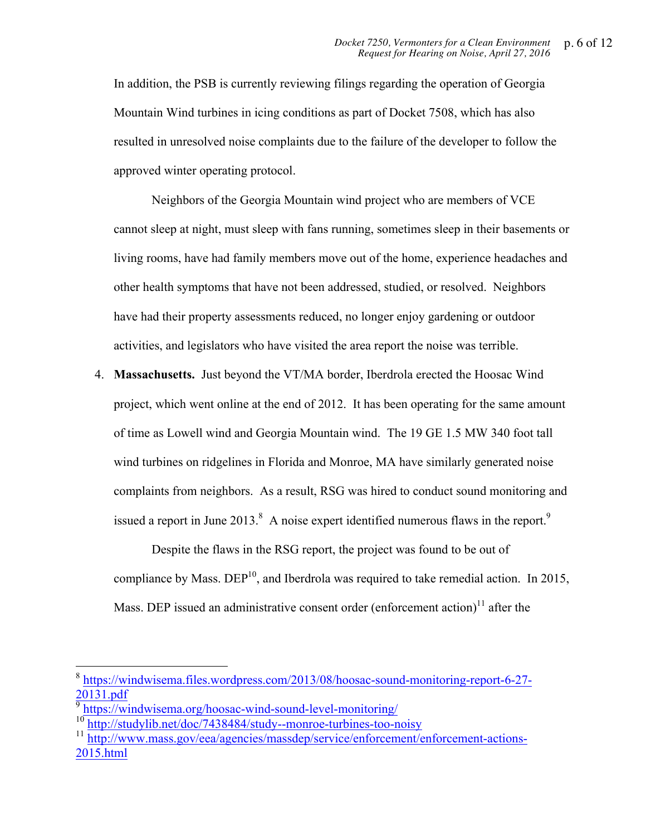In addition, the PSB is currently reviewing filings regarding the operation of Georgia Mountain Wind turbines in icing conditions as part of Docket 7508, which has also resulted in unresolved noise complaints due to the failure of the developer to follow the approved winter operating protocol.

Neighbors of the Georgia Mountain wind project who are members of VCE cannot sleep at night, must sleep with fans running, sometimes sleep in their basements or living rooms, have had family members move out of the home, experience headaches and other health symptoms that have not been addressed, studied, or resolved. Neighbors have had their property assessments reduced, no longer enjoy gardening or outdoor activities, and legislators who have visited the area report the noise was terrible.

4. **Massachusetts.** Just beyond the VT/MA border, Iberdrola erected the Hoosac Wind project, which went online at the end of 2012. It has been operating for the same amount of time as Lowell wind and Georgia Mountain wind. The 19 GE 1.5 MW 340 foot tall wind turbines on ridgelines in Florida and Monroe, MA have similarly generated noise complaints from neighbors. As a result, RSG was hired to conduct sound monitoring and issued a report in June 2013.<sup>8</sup> A noise expert identified numerous flaws in the report.<sup>9</sup>

Despite the flaws in the RSG report, the project was found to be out of compliance by Mass.  $DEP<sup>10</sup>$ , and Iberdrola was required to take remedial action. In 2015, Mass. DEP issued an administrative consent order (enforcement action)<sup>11</sup> after the

<sup>8</sup> https://windwisema.files.wordpress.com/2013/08/hoosac-sound-monitoring-report-6-27- 20131.pdf

<sup>&</sup>lt;sup>9</sup> https://windwisema.org/hoosac-wind-sound-level-monitoring/

<sup>&</sup>lt;sup>10</sup> http://studylib.net/doc/7438484/study--monroe-turbines-too-noisy

<sup>11</sup> http://www.mass.gov/eea/agencies/massdep/service/enforcement/enforcement-actions-2015.html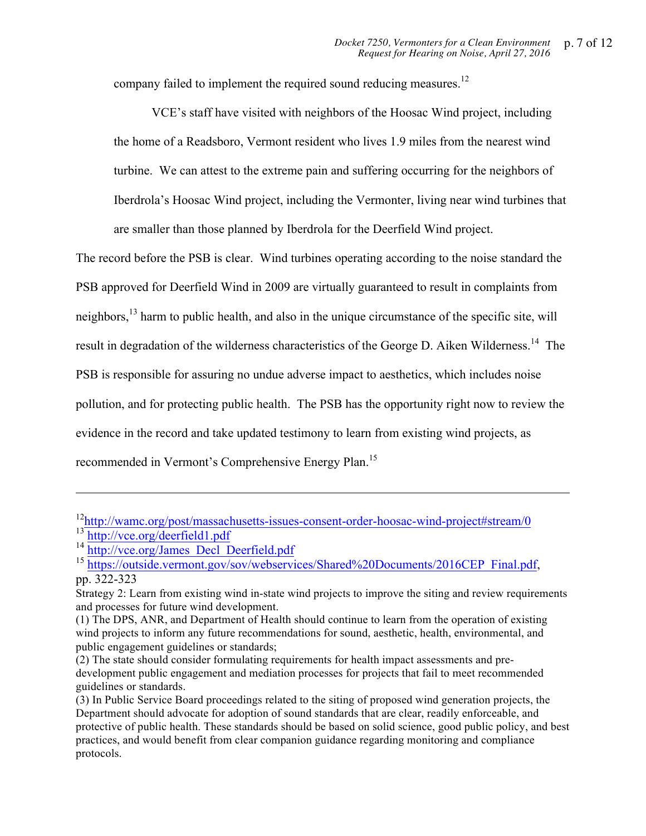company failed to implement the required sound reducing measures.<sup>12</sup>

VCE's staff have visited with neighbors of the Hoosac Wind project, including the home of a Readsboro, Vermont resident who lives 1.9 miles from the nearest wind turbine. We can attest to the extreme pain and suffering occurring for the neighbors of Iberdrola's Hoosac Wind project, including the Vermonter, living near wind turbines that are smaller than those planned by Iberdrola for the Deerfield Wind project.

The record before the PSB is clear. Wind turbines operating according to the noise standard the PSB approved for Deerfield Wind in 2009 are virtually guaranteed to result in complaints from neighbors,<sup>13</sup> harm to public health, and also in the unique circumstance of the specific site, will result in degradation of the wilderness characteristics of the George D. Aiken Wilderness.<sup>14</sup> The PSB is responsible for assuring no undue adverse impact to aesthetics, which includes noise pollution, and for protecting public health. The PSB has the opportunity right now to review the evidence in the record and take updated testimony to learn from existing wind projects, as recommended in Vermont's Comprehensive Energy Plan.<sup>15</sup>

-

<sup>&</sup>lt;sup>12</sup>http://wamc.org/post/massachusetts-issues-consent-order-hoosac-wind-project#stream/0 <sup>13</sup> http://vce.org/deerfield1.pdf

<sup>&</sup>lt;sup>14</sup> http://vce.org/James\_Decl\_Deerfield.pdf

<sup>&</sup>lt;sup>15</sup> https://outside.vermont.gov/sov/webservices/Shared%20Documents/2016CEP\_Final.pdf, pp. 322-323

Strategy 2: Learn from existing wind in-state wind projects to improve the siting and review requirements and processes for future wind development.

<sup>(1)</sup> The DPS, ANR, and Department of Health should continue to learn from the operation of existing wind projects to inform any future recommendations for sound, aesthetic, health, environmental, and public engagement guidelines or standards;

<sup>(2)</sup> The state should consider formulating requirements for health impact assessments and predevelopment public engagement and mediation processes for projects that fail to meet recommended guidelines or standards.

<sup>(3)</sup> In Public Service Board proceedings related to the siting of proposed wind generation projects, the Department should advocate for adoption of sound standards that are clear, readily enforceable, and protective of public health. These standards should be based on solid science, good public policy, and best practices, and would benefit from clear companion guidance regarding monitoring and compliance protocols.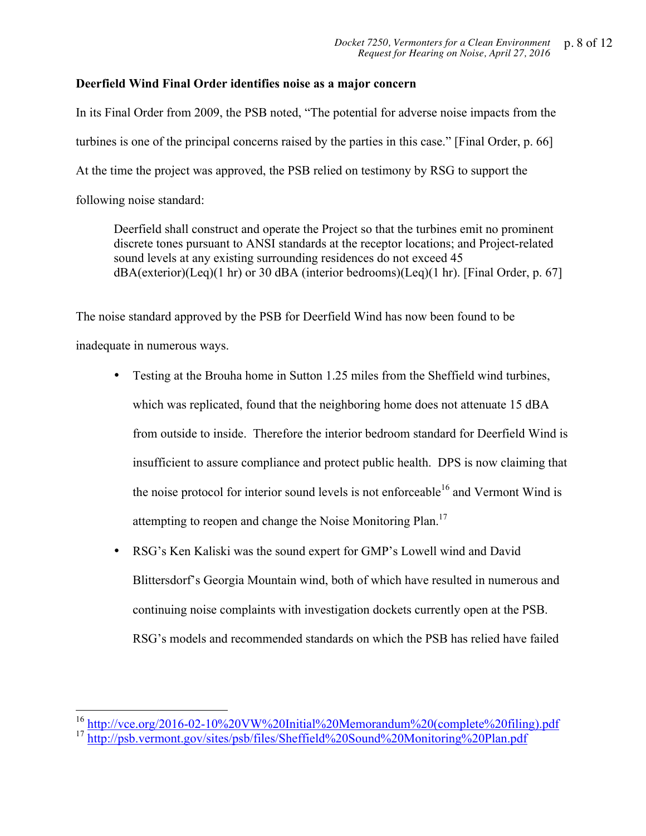## **Deerfield Wind Final Order identifies noise as a major concern**

In its Final Order from 2009, the PSB noted, "The potential for adverse noise impacts from the turbines is one of the principal concerns raised by the parties in this case." [Final Order, p. 66] At the time the project was approved, the PSB relied on testimony by RSG to support the following noise standard:

Deerfield shall construct and operate the Project so that the turbines emit no prominent discrete tones pursuant to ANSI standards at the receptor locations; and Project-related sound levels at any existing surrounding residences do not exceed 45 dBA(exterior)(Leq)(1 hr) or 30 dBA (interior bedrooms)(Leq)(1 hr). [Final Order, p. 67]

The noise standard approved by the PSB for Deerfield Wind has now been found to be inadequate in numerous ways.

- Testing at the Brouha home in Sutton 1.25 miles from the Sheffield wind turbines, which was replicated, found that the neighboring home does not attenuate 15 dBA from outside to inside. Therefore the interior bedroom standard for Deerfield Wind is insufficient to assure compliance and protect public health. DPS is now claiming that the noise protocol for interior sound levels is not enforceable<sup>16</sup> and Vermont Wind is attempting to reopen and change the Noise Monitoring Plan.<sup>17</sup>
- RSG's Ken Kaliski was the sound expert for GMP's Lowell wind and David Blittersdorf's Georgia Mountain wind, both of which have resulted in numerous and continuing noise complaints with investigation dockets currently open at the PSB. RSG's models and recommended standards on which the PSB has relied have failed

<sup>&</sup>lt;sup>16</sup> http://vce.org/2016-02-10%20VW%20Initial%20Memorandum%20(complete%20filing).pdf

http://psb.vermont.gov/sites/psb/files/Sheffield%20Sound%20Monitoring%20Plan.pdf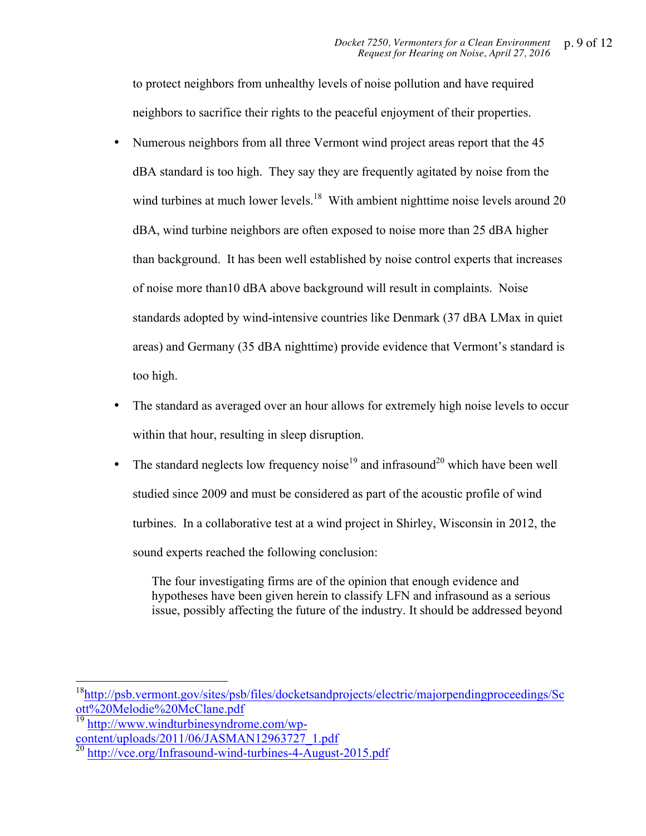to protect neighbors from unhealthy levels of noise pollution and have required neighbors to sacrifice their rights to the peaceful enjoyment of their properties.

- Numerous neighbors from all three Vermont wind project areas report that the 45 dBA standard is too high. They say they are frequently agitated by noise from the wind turbines at much lower levels.<sup>18</sup> With ambient nighttime noise levels around 20 dBA, wind turbine neighbors are often exposed to noise more than 25 dBA higher than background. It has been well established by noise control experts that increases of noise more than10 dBA above background will result in complaints. Noise standards adopted by wind-intensive countries like Denmark (37 dBA LMax in quiet areas) and Germany (35 dBA nighttime) provide evidence that Vermont's standard is too high.
- The standard as averaged over an hour allows for extremely high noise levels to occur within that hour, resulting in sleep disruption.
- The standard neglects low frequency noise<sup>19</sup> and infrasound<sup>20</sup> which have been well studied since 2009 and must be considered as part of the acoustic profile of wind turbines. In a collaborative test at a wind project in Shirley, Wisconsin in 2012, the sound experts reached the following conclusion:

The four investigating firms are of the opinion that enough evidence and hypotheses have been given herein to classify LFN and infrasound as a serious issue, possibly affecting the future of the industry. It should be addressed beyond

18http://psb.vermont.gov/sites/psb/files/docketsandprojects/electric/majorpendingproceedings/Sc ott%20Melodie%20McClane.pdf

http://www.windturbinesyndrome.com/wpcontent/uploads/2011/06/JASMAN12963727\_1.pdf

<sup>&</sup>lt;sup>20</sup> http://vce.org/Infrasound-wind-turbines-4-August-2015.pdf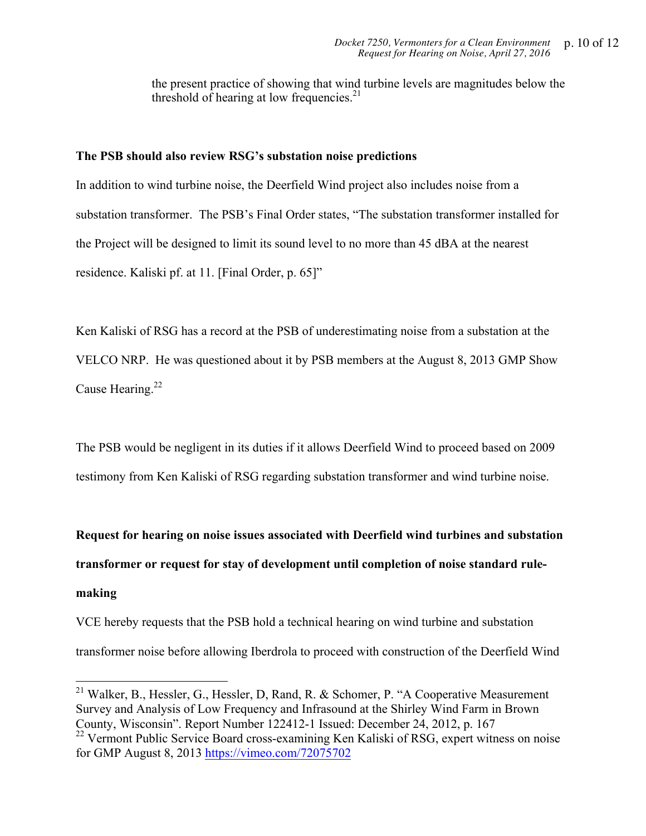the present practice of showing that wind turbine levels are magnitudes below the threshold of hearing at low frequencies. $21$ 

#### **The PSB should also review RSG's substation noise predictions**

In addition to wind turbine noise, the Deerfield Wind project also includes noise from a substation transformer. The PSB's Final Order states, "The substation transformer installed for the Project will be designed to limit its sound level to no more than 45 dBA at the nearest residence. Kaliski pf. at 11. [Final Order, p. 65]"

Ken Kaliski of RSG has a record at the PSB of underestimating noise from a substation at the VELCO NRP. He was questioned about it by PSB members at the August 8, 2013 GMP Show Cause Hearing.<sup>22</sup>

The PSB would be negligent in its duties if it allows Deerfield Wind to proceed based on 2009 testimony from Ken Kaliski of RSG regarding substation transformer and wind turbine noise.

**Request for hearing on noise issues associated with Deerfield wind turbines and substation transformer or request for stay of development until completion of noise standard rulemaking**

VCE hereby requests that the PSB hold a technical hearing on wind turbine and substation transformer noise before allowing Iberdrola to proceed with construction of the Deerfield Wind

<sup>&</sup>lt;sup>21</sup> Walker, B., Hessler, G., Hessler, D, Rand, R. & Schomer, P. "A Cooperative Measurement Survey and Analysis of Low Frequency and Infrasound at the Shirley Wind Farm in Brown County, Wisconsin". Report Number 122412-1 Issued: December 24, 2012, p. 167

<sup>&</sup>lt;sup>22</sup> Vermont Public Service Board cross-examining Ken Kaliski of RSG, expert witness on noise for GMP August 8, 2013 https://vimeo.com/72075702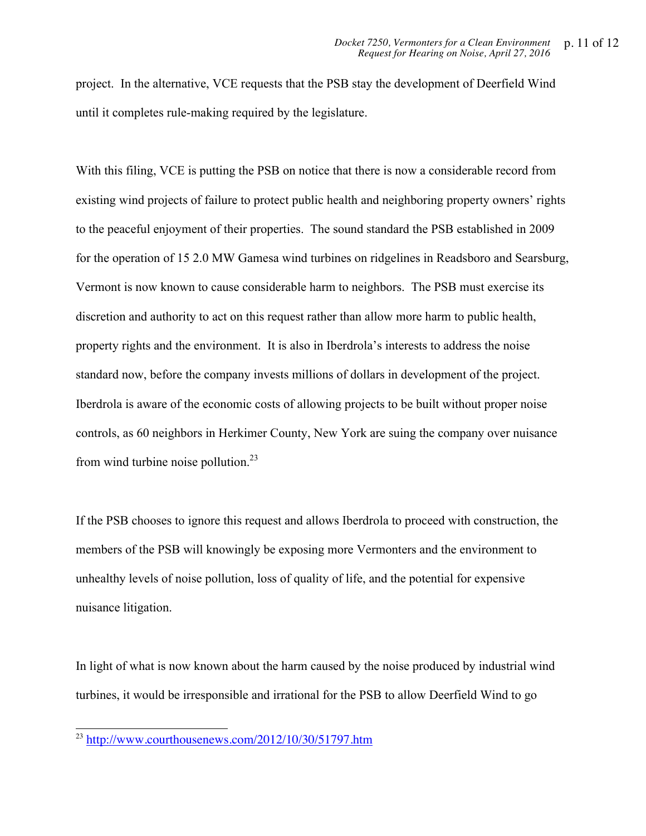project. In the alternative, VCE requests that the PSB stay the development of Deerfield Wind until it completes rule-making required by the legislature.

With this filing, VCE is putting the PSB on notice that there is now a considerable record from existing wind projects of failure to protect public health and neighboring property owners' rights to the peaceful enjoyment of their properties. The sound standard the PSB established in 2009 for the operation of 15 2.0 MW Gamesa wind turbines on ridgelines in Readsboro and Searsburg, Vermont is now known to cause considerable harm to neighbors. The PSB must exercise its discretion and authority to act on this request rather than allow more harm to public health, property rights and the environment. It is also in Iberdrola's interests to address the noise standard now, before the company invests millions of dollars in development of the project. Iberdrola is aware of the economic costs of allowing projects to be built without proper noise controls, as 60 neighbors in Herkimer County, New York are suing the company over nuisance from wind turbine noise pollution. $^{23}$ 

If the PSB chooses to ignore this request and allows Iberdrola to proceed with construction, the members of the PSB will knowingly be exposing more Vermonters and the environment to unhealthy levels of noise pollution, loss of quality of life, and the potential for expensive nuisance litigation.

In light of what is now known about the harm caused by the noise produced by industrial wind turbines, it would be irresponsible and irrational for the PSB to allow Deerfield Wind to go

 $^{23}$  http://www.courthousenews.com/2012/10/30/51797.htm